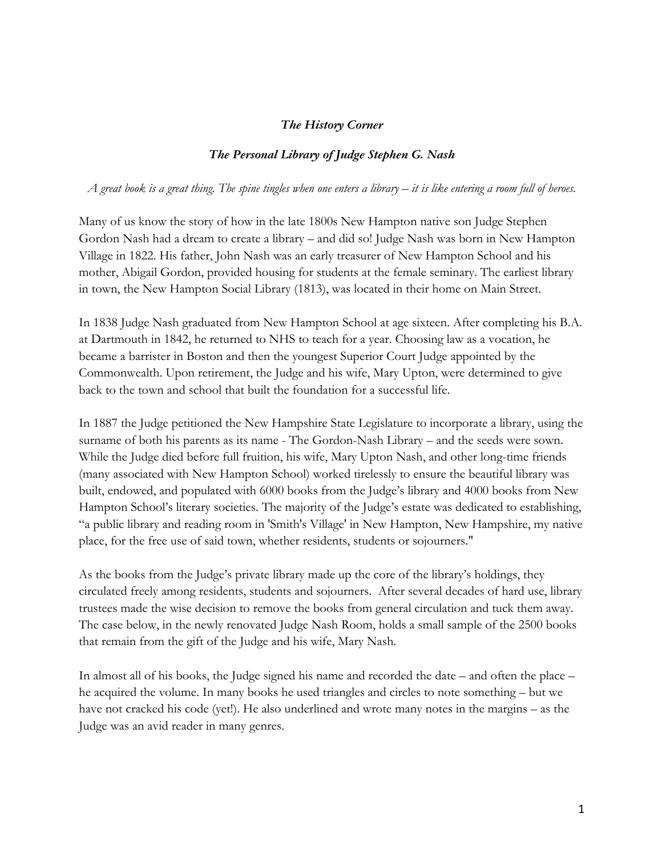## *The History Corner*

## *The Personal Library of Judge Stephen G. Nash*

*A great book is a great thing. The spine tingles when one enters a library – it is like entering a room full of heroes.*

Many of us know the story of how in the late 1800s New Hampton native son Judge Stephen Gordon Nash had a dream to create a library – and did so! Judge Nash was born in New Hampton Village in 1822. His father, John Nash was an early treasurer of New Hampton School and his mother, Abigail Gordon, provided housing for students at the female seminary. The earliest library in town, the New Hampton Social Library (1813), was located in their home on Main Street.

In 1838 Judge Nash graduated from New Hampton School at age sixteen. After completing his B.A. at Dartmouth in 1842, he returned to NHS to teach for a year. Choosing law as a vocation, he became a barrister in Boston and then the youngest Superior Court Judge appointed by the Commonwealth. Upon retirement, the Judge and his wife, Mary Upton, were determined to give back to the town and school that built the foundation for a successful life.

In 1887 the Judge petitioned the New Hampshire State Legislature to incorporate a library, using the surname of both his parents as its name - The Gordon-Nash Library – and the seeds were sown. While the Judge died before full fruition, his wife, Mary Upton Nash, and other long-time friends (many associated with New Hampton School) worked tirelessly to ensure the beautiful library was built, endowed, and populated with 6000 books from the Judge's library and 4000 books from New Hampton School's literary societies. The majority of the Judge's estate was dedicated to establishing, "a public library and reading room in 'Smith's Village' in New Hampton, New Hampshire, my native place, for the free use of said town, whether residents, students or sojourners."

As the books from the Judge's private library made up the core of the library's holdings, they circulated freely among residents, students and sojourners. After several decades of hard use, library trustees made the wise decision to remove the books from general circulation and tuck them away. The case below, in the newly renovated Judge Nash Room, holds a small sample of the 2500 books that remain from the gift of the Judge and his wife, Mary Nash.

In almost all of his books, the Judge signed his name and recorded the date – and often the place – he acquired the volume. In many books he used triangles and circles to note something – but we have not cracked his code (yet!). He also underlined and wrote many notes in the margins – as the Judge was an avid reader in many genres.